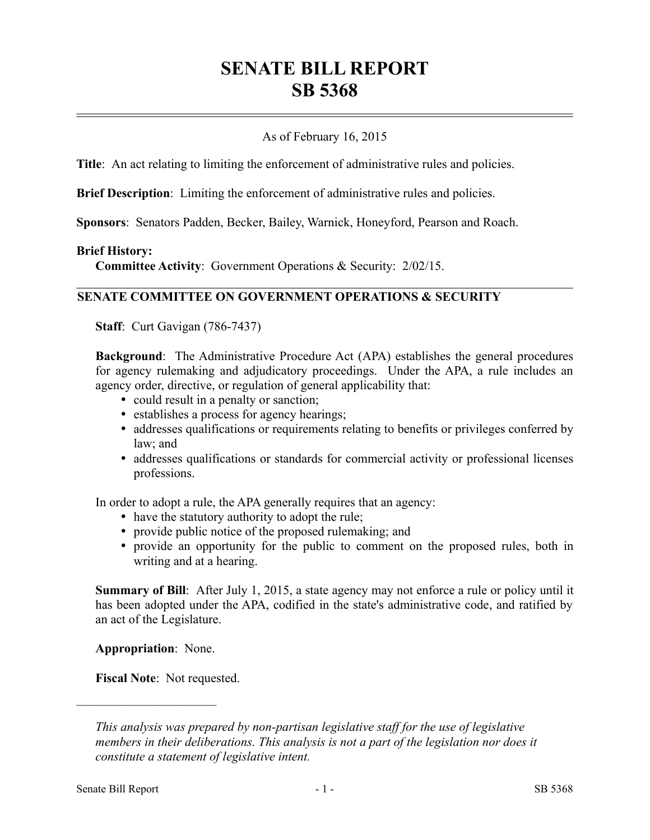# **SENATE BILL REPORT SB 5368**

## As of February 16, 2015

**Title**: An act relating to limiting the enforcement of administrative rules and policies.

**Brief Description**: Limiting the enforcement of administrative rules and policies.

**Sponsors**: Senators Padden, Becker, Bailey, Warnick, Honeyford, Pearson and Roach.

#### **Brief History:**

**Committee Activity**: Government Operations & Security: 2/02/15.

### **SENATE COMMITTEE ON GOVERNMENT OPERATIONS & SECURITY**

**Staff**: Curt Gavigan (786-7437)

**Background**: The Administrative Procedure Act (APA) establishes the general procedures for agency rulemaking and adjudicatory proceedings. Under the APA, a rule includes an agency order, directive, or regulation of general applicability that:

- could result in a penalty or sanction;
- establishes a process for agency hearings;
- addresses qualifications or requirements relating to benefits or privileges conferred by law; and
- addresses qualifications or standards for commercial activity or professional licenses professions.

In order to adopt a rule, the APA generally requires that an agency:

- have the statutory authority to adopt the rule;
- provide public notice of the proposed rulemaking; and
- provide an opportunity for the public to comment on the proposed rules, both in writing and at a hearing.

**Summary of Bill**: After July 1, 2015, a state agency may not enforce a rule or policy until it has been adopted under the APA, codified in the state's administrative code, and ratified by an act of the Legislature.

**Appropriation**: None.

––––––––––––––––––––––

**Fiscal Note**: Not requested.

*This analysis was prepared by non-partisan legislative staff for the use of legislative members in their deliberations. This analysis is not a part of the legislation nor does it constitute a statement of legislative intent.*